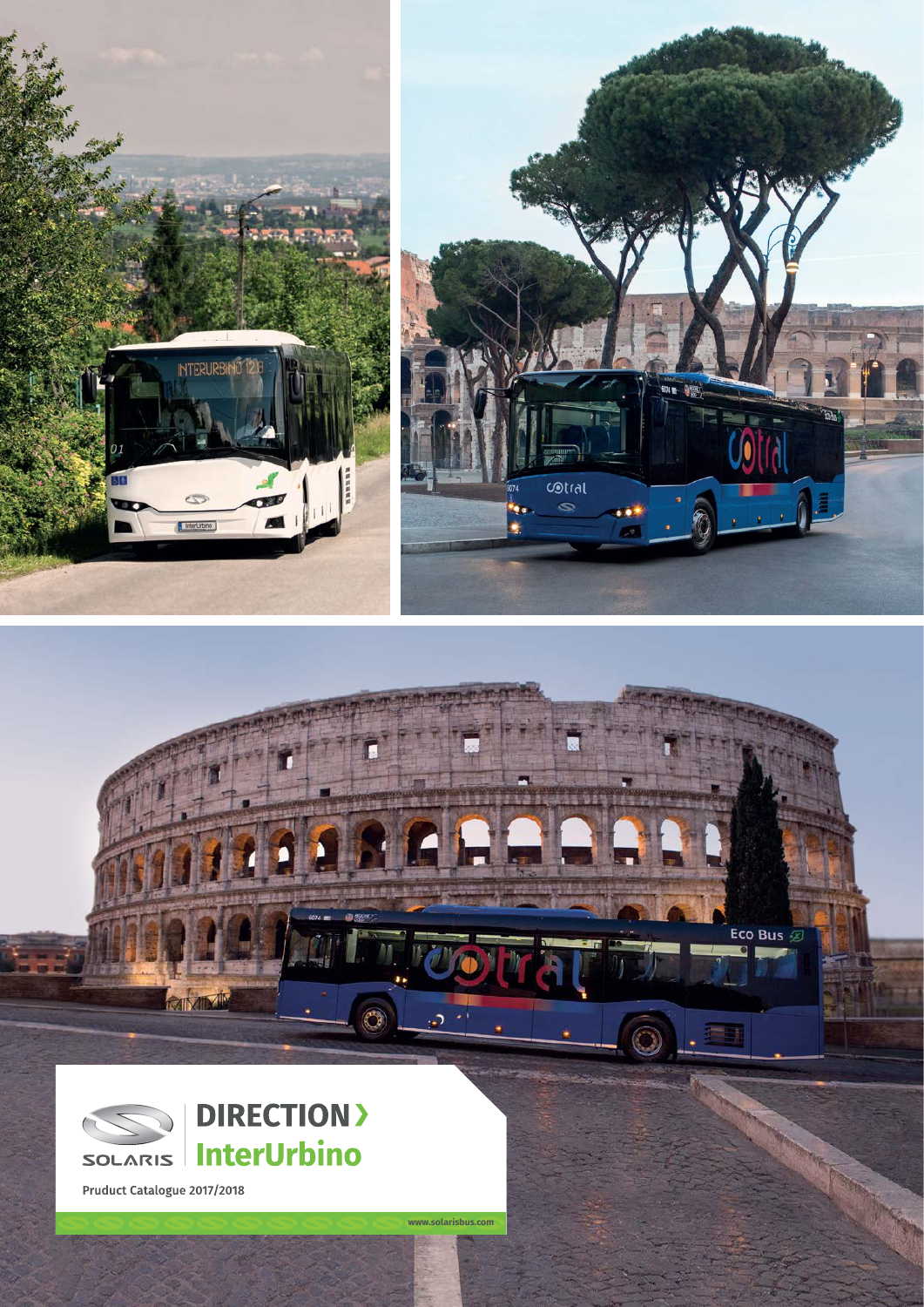



Eco Bus  $\blacksquare$ 



**DIRECTION> InterUrbino** 

O

د.

www.solarisbus.com

Pruduct Catalogue 2017/2018

**Frankling Ox**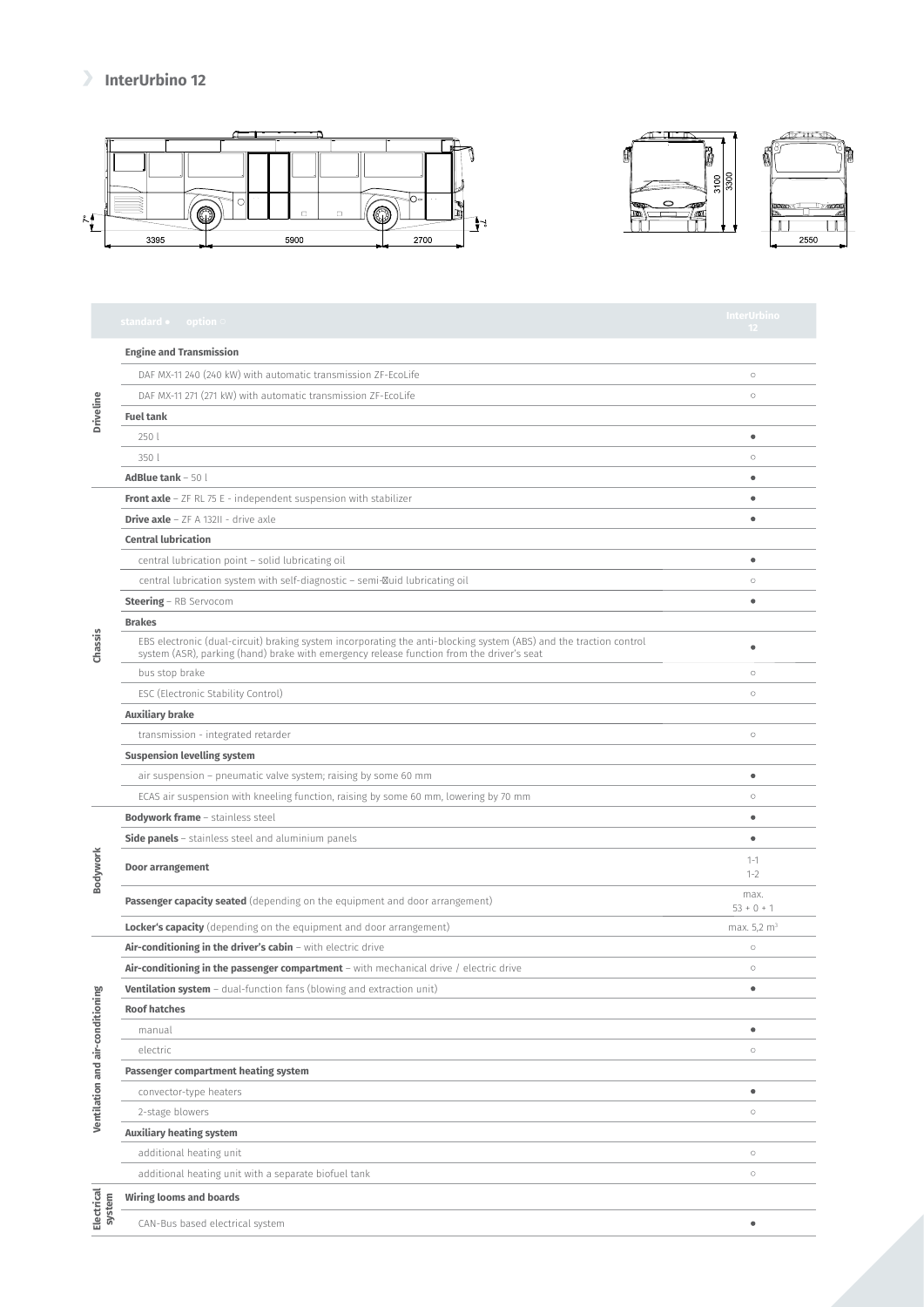## **InterUrbino 12**







|                                      | standard $\bullet$ option $\circ$                                                                                                                                                                               | InterUrbino<br>12       |
|--------------------------------------|-----------------------------------------------------------------------------------------------------------------------------------------------------------------------------------------------------------------|-------------------------|
| Driveline                            | <b>Engine and Transmission</b>                                                                                                                                                                                  |                         |
|                                      | DAF MX-11 240 (240 kW) with automatic transmission ZF-EcoLife                                                                                                                                                   | $\circ$                 |
|                                      | DAF MX-11 271 (271 kW) with automatic transmission ZF-EcoLife                                                                                                                                                   | $\circ$                 |
|                                      | <b>Fuel tank</b>                                                                                                                                                                                                |                         |
|                                      | 250 l                                                                                                                                                                                                           | ۰                       |
|                                      | 350 l                                                                                                                                                                                                           | $\circ$                 |
|                                      | AdBlue tank $-50$ l                                                                                                                                                                                             | ٠                       |
| Chassis                              | <b>Front axle</b> - $ZF$ RL 75 E - independent suspension with stabilizer                                                                                                                                       | $\bullet$               |
|                                      | <b>Drive axle</b> $-$ ZF A 132II - drive axle                                                                                                                                                                   | $\bullet$               |
|                                      | <b>Central lubrication</b>                                                                                                                                                                                      |                         |
|                                      | central lubrication point - solid lubricating oil                                                                                                                                                               | $\bullet$               |
|                                      | central lubrication system with self-diagnostic - semi- uid lubricating oil                                                                                                                                     | $\circ$                 |
|                                      | Steering - RB Servocom                                                                                                                                                                                          | ۰                       |
|                                      | <b>Brakes</b>                                                                                                                                                                                                   |                         |
|                                      | EBS electronic (dual-circuit) braking system incorporating the anti-blocking system (ABS) and the traction control<br>system (ASR), parking (hand) brake with emergency release function from the driver's seat | ۰                       |
|                                      | bus stop brake                                                                                                                                                                                                  | $\circ$                 |
|                                      | ESC (Electronic Stability Control)                                                                                                                                                                              | $\circ$                 |
|                                      | <b>Auxiliary brake</b>                                                                                                                                                                                          |                         |
|                                      | transmission - integrated retarder                                                                                                                                                                              | $\circ$                 |
|                                      | <b>Suspension levelling system</b>                                                                                                                                                                              |                         |
|                                      | air suspension - pneumatic valve system; raising by some 60 mm                                                                                                                                                  | ۰                       |
|                                      | ECAS air suspension with kneeling function, raising by some 60 mm, lowering by 70 mm                                                                                                                            | $\circ$                 |
| Bodywork                             | <b>Bodywork frame</b> - stainless steel                                                                                                                                                                         | ٠                       |
|                                      | <b>Side panels</b> - stainless steel and aluminium panels                                                                                                                                                       | ٠                       |
|                                      | Door arrangement                                                                                                                                                                                                | $1 - 1$<br>$1 - 2$      |
|                                      | Passenger capacity seated (depending on the equipment and door arrangement)                                                                                                                                     | max.<br>$53 + 0 + 1$    |
|                                      | <b>Locker's capacity</b> (depending on the equipment and door arrangement)                                                                                                                                      | max. 5,2 m <sup>3</sup> |
| āυ<br>Ventilation and air-conditioni | Air-conditioning in the driver's cabin - with electric drive                                                                                                                                                    | $\circ$                 |
|                                      | Air-conditioning in the passenger compartment - with mechanical drive / electric drive                                                                                                                          | $\circ$                 |
|                                      | <b>Ventilation system</b> - dual-function fans (blowing and extraction unit)                                                                                                                                    | ۰                       |
|                                      | <b>Roof hatches</b>                                                                                                                                                                                             |                         |
|                                      | manual                                                                                                                                                                                                          | ۰                       |
|                                      | electric                                                                                                                                                                                                        | $\circ$                 |
|                                      | Passenger compartment heating system                                                                                                                                                                            |                         |
|                                      | convector-type heaters                                                                                                                                                                                          | ۰                       |
|                                      | 2-stage blowers                                                                                                                                                                                                 | $\circ$                 |
|                                      | <b>Auxiliary heating system</b>                                                                                                                                                                                 |                         |
|                                      | additional heating unit                                                                                                                                                                                         | $\circ$                 |
|                                      | additional heating unit with a separate biofuel tank                                                                                                                                                            | $\circ$                 |
| Electrical<br>system                 | <b>Wiring looms and boards</b>                                                                                                                                                                                  |                         |
|                                      | CAN-Bus based electrical system                                                                                                                                                                                 | ۰                       |

**Bodywork**